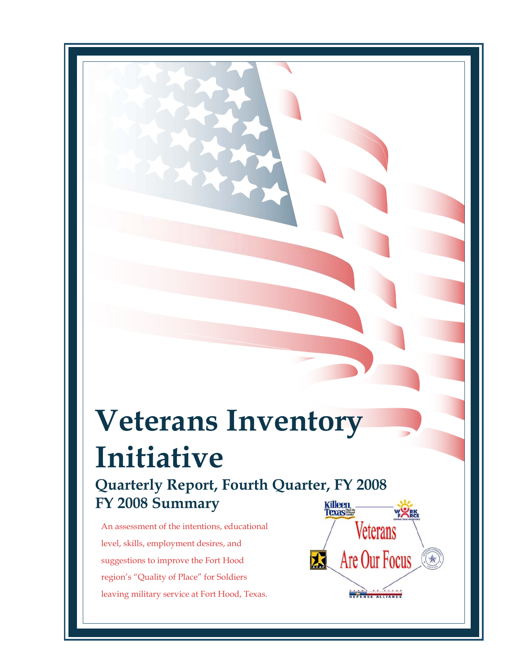# **Veterans Inventory Initiative**

**Quarterly Report, Fourth Quarter, FY 2008 FY 2008 Summary** 

An assessment of the intentions, educational level, skills, employment desires, and suggestions to improve the Fort Hood region's "Quality of Place" for Soldiers leaving military service at Fort Hood, Texas.

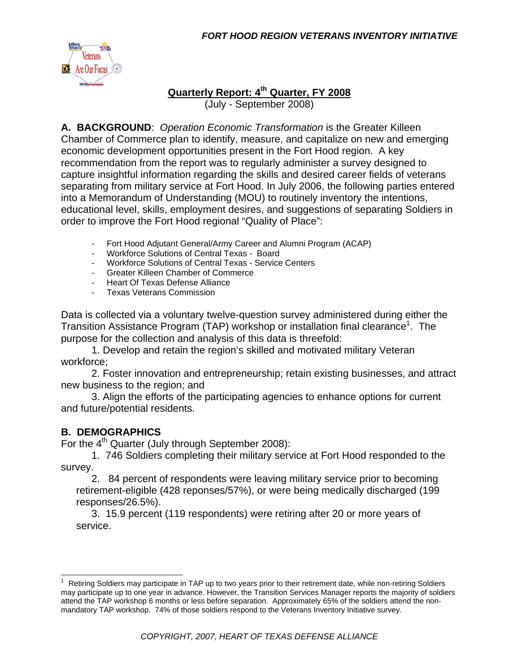

### **Quarterly Report: 4th Quarter, FY 2008**

(July - September 2008)

**A. BACKGROUND**: *Operation Economic Transformation* is the Greater Killeen Chamber of Commerce plan to identify, measure, and capitalize on new and emerging economic development opportunities present in the Fort Hood region. A key recommendation from the report was to regularly administer a survey designed to capture insightful information regarding the skills and desired career fields of veterans separating from military service at Fort Hood. In July 2006, the following parties entered into a Memorandum of Understanding (MOU) to routinely inventory the intentions, educational level, skills, employment desires, and suggestions of separating Soldiers in order to improve the Fort Hood regional "Quality of Place":

- Fort Hood Adjutant General/Army Career and Alumni Program (ACAP)
- Workforce Solutions of Central Texas Board
- Workforce Solutions of Central Texas Service Centers
- Greater Killeen Chamber of Commerce
- Heart Of Texas Defense Alliance
- Texas Veterans Commission

Data is collected via a voluntary twelve-question survey administered during either the Transition Assistance Program (TAP) workshop or installation final clearance<sup>1</sup>. The purpose for the collection and analysis of this data is threefold:

 1. Develop and retain the region's skilled and motivated military Veteran workforce;

 2. Foster innovation and entrepreneurship; retain existing businesses, and attract new business to the region; and

 3. Align the efforts of the participating agencies to enhance options for current and future/potential residents.

#### **B. DEMOGRAPHICS**

For the 4<sup>th</sup> Quarter (July through September 2008):

 1. 746 Soldiers completing their military service at Fort Hood responded to the survey.

 2. 84 percent of respondents were leaving military service prior to becoming retirement-eligible (428 reponses/57%), or were being medically discharged (199 responses/26.5%).

 3. 15.9 percent (119 respondents) were retiring after 20 or more years of service.

<sup>&</sup>lt;u>neting</u><br><sup>1</sup> Retiring Soldiers may participate in TAP up to two years prior to their retirement date, while non-retiring Soldiers may participate up to one year in advance. However, the Transition Services Manager reports the majority of soldiers attend the TAP workshop 6 months or less before separation. Approximately 65% of the soldiers attend the nonmandatory TAP workshop. 74% of those soldiers respond to the Veterans Inventory Initiative survey.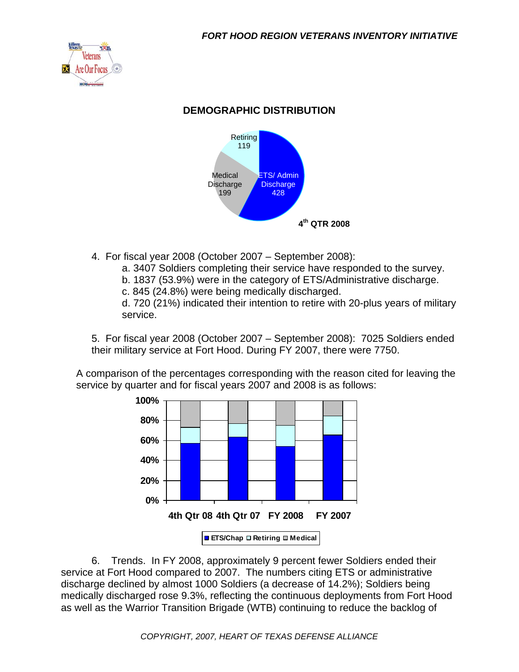

#### **DEMOGRAPHIC DISTRIBUTION**



- 4. For fiscal year 2008 (October 2007 September 2008):
	- a. 3407 Soldiers completing their service have responded to the survey.
	- b. 1837 (53.9%) were in the category of ETS/Administrative discharge.
	- c. 845 (24.8%) were being medically discharged.

d. 720 (21%) indicated their intention to retire with 20-plus years of military service.

5. For fiscal year 2008 (October 2007 – September 2008): 7025 Soldiers ended their military service at Fort Hood. During FY 2007, there were 7750.

A comparison of the percentages corresponding with the reason cited for leaving the service by quarter and for fiscal years 2007 and 2008 is as follows:



 6. Trends. In FY 2008, approximately 9 percent fewer Soldiers ended their service at Fort Hood compared to 2007. The numbers citing ETS or administrative discharge declined by almost 1000 Soldiers (a decrease of 14.2%); Soldiers being medically discharged rose 9.3%, reflecting the continuous deployments from Fort Hood as well as the Warrior Transition Brigade (WTB) continuing to reduce the backlog of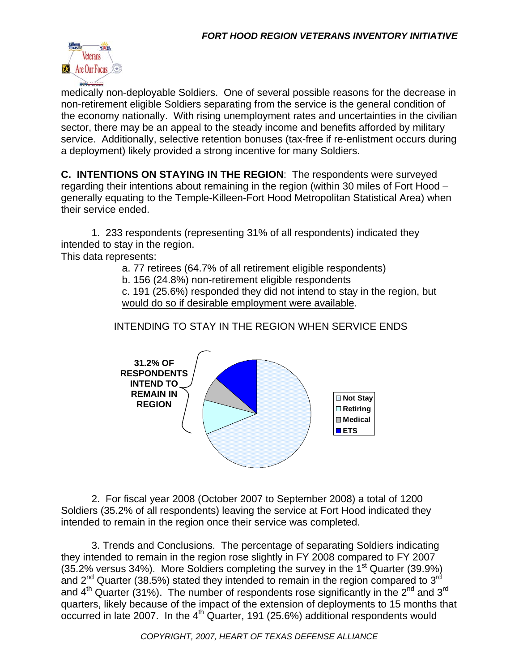

medically non-deployable Soldiers. One of several possible reasons for the decrease in non-retirement eligible Soldiers separating from the service is the general condition of the economy nationally. With rising unemployment rates and uncertainties in the civilian sector, there may be an appeal to the steady income and benefits afforded by military service. Additionally, selective retention bonuses (tax-free if re-enlistment occurs during a deployment) likely provided a strong incentive for many Soldiers.

**C. INTENTIONS ON STAYING IN THE REGION**: The respondents were surveyed regarding their intentions about remaining in the region (within 30 miles of Fort Hood – generally equating to the Temple-Killeen-Fort Hood Metropolitan Statistical Area) when their service ended.

 1. 233 respondents (representing 31% of all respondents) indicated they intended to stay in the region.

This data represents:

a. 77 retirees (64.7% of all retirement eligible respondents)

b. 156 (24.8%) non-retirement eligible respondents

c. 191 (25.6%) responded they did not intend to stay in the region, but would do so if desirable employment were available.

INTENDING TO STAY IN THE REGION WHEN SERVICE ENDS



 2. For fiscal year 2008 (October 2007 to September 2008) a total of 1200 Soldiers (35.2% of all respondents) leaving the service at Fort Hood indicated they intended to remain in the region once their service was completed.

 3. Trends and Conclusions. The percentage of separating Soldiers indicating they intended to remain in the region rose slightly in FY 2008 compared to FY 2007 (35.2% versus 34%). More Soldiers completing the survey in the 1<sup>st</sup> Quarter (39.9%) and  $2^{nd}$  Quarter (38.5%) stated they intended to remain in the region compared to  $3^{rd}$ and  $4<sup>th</sup>$  Quarter (31%). The number of respondents rose significantly in the  $2<sup>nd</sup>$  and  $3<sup>rd</sup>$ quarters, likely because of the impact of the extension of deployments to 15 months that occurred in late 2007. In the  $4<sup>th</sup>$  Quarter, 191 (25.6%) additional respondents would

*COPYRIGHT, 2007, HEART OF TEXAS DEFENSE ALLIANCE*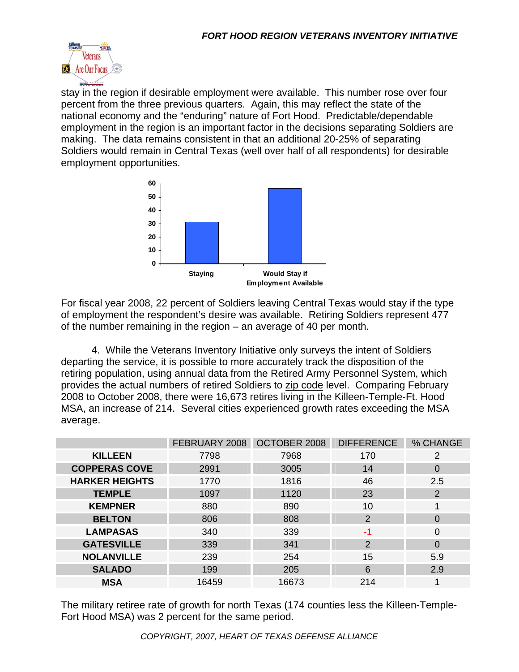

stay in the region if desirable employment were available. This number rose over four percent from the three previous quarters. Again, this may reflect the state of the national economy and the "enduring" nature of Fort Hood. Predictable/dependable employment in the region is an important factor in the decisions separating Soldiers are making. The data remains consistent in that an additional 20-25% of separating Soldiers would remain in Central Texas (well over half of all respondents) for desirable employment opportunities.



For fiscal year 2008, 22 percent of Soldiers leaving Central Texas would stay if the type of employment the respondent's desire was available. Retiring Soldiers represent 477 of the number remaining in the region – an average of 40 per month.

 4. While the Veterans Inventory Initiative only surveys the intent of Soldiers departing the service, it is possible to more accurately track the disposition of the retiring population, using annual data from the Retired Army Personnel System, which provides the actual numbers of retired Soldiers to zip code level. Comparing February 2008 to October 2008, there were 16,673 retires living in the Killeen-Temple-Ft. Hood MSA, an increase of 214. Several cities experienced growth rates exceeding the MSA average.

|                       | FEBRUARY 2008 | OCTOBER 2008 | <b>DIFFERENCE</b> | % CHANGE       |
|-----------------------|---------------|--------------|-------------------|----------------|
| <b>KILLEEN</b>        | 7798          | 7968         | 170               | 2              |
| <b>COPPERAS COVE</b>  | 2991          | 3005         | 14                | O              |
| <b>HARKER HEIGHTS</b> | 1770          | 1816         | 46                | 2.5            |
| <b>TEMPLE</b>         | 1097          | 1120         | 23                | $\overline{2}$ |
| <b>KEMPNER</b>        | 880           | 890          | 10                |                |
| <b>BELTON</b>         | 806           | 808          | $\overline{2}$    | 0              |
| <b>LAMPASAS</b>       | 340           | 339          | -1                | 0              |
| <b>GATESVILLE</b>     | 339           | 341          | 2                 | 0              |
| <b>NOLANVILLE</b>     | 239           | 254          | 15                | 5.9            |
| <b>SALADO</b>         | 199           | 205          | 6                 | 2.9            |
| <b>MSA</b>            | 16459         | 16673        | 214               |                |

The military retiree rate of growth for north Texas (174 counties less the Killeen-Temple-Fort Hood MSA) was 2 percent for the same period.

*COPYRIGHT, 2007, HEART OF TEXAS DEFENSE ALLIANCE*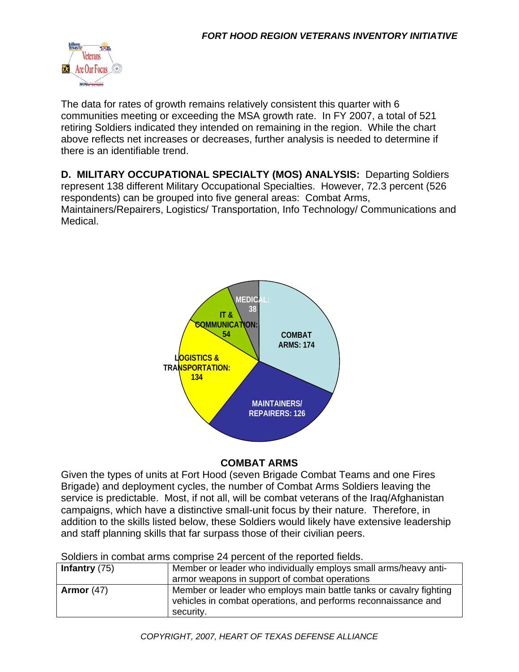

The data for rates of growth remains relatively consistent this quarter with 6 communities meeting or exceeding the MSA growth rate. In FY 2007, a total of 521 retiring Soldiers indicated they intended on remaining in the region. While the chart above reflects net increases or decreases, further analysis is needed to determine if there is an identifiable trend.

**D. MILITARY OCCUPATIONAL SPECIALTY (MOS) ANALYSIS:** Departing Soldiers represent 138 different Military Occupational Specialties. However, 72.3 percent (526 respondents) can be grouped into five general areas: Combat Arms, Maintainers/Repairers, Logistics/ Transportation, Info Technology/ Communications and Medical.



#### **COMBAT ARMS**

Given the types of units at Fort Hood (seven Brigade Combat Teams and one Fires Brigade) and deployment cycles, the number of Combat Arms Soldiers leaving the service is predictable. Most, if not all, will be combat veterans of the Iraq/Afghanistan campaigns, which have a distinctive small-unit focus by their nature. Therefore, in addition to the skills listed below, these Soldiers would likely have extensive leadership and staff planning skills that far surpass those of their civilian peers.

| <u>UUUUU III CUMBA AMIIS CUMBIIST ZII DEICENT UI MIT IEPUNGU MENS.</u> |                                                                                                                                                   |  |
|------------------------------------------------------------------------|---------------------------------------------------------------------------------------------------------------------------------------------------|--|
| Infantry $(75)$                                                        | Member or leader who individually employs small arms/heavy anti-                                                                                  |  |
|                                                                        | armor weapons in support of combat operations                                                                                                     |  |
| Armor $(47)$                                                           | Member or leader who employs main battle tanks or cavalry fighting<br>vehicles in combat operations, and performs reconnaissance and<br>security. |  |

Soldiers in combat arms comprise 24 percent of the reported fields.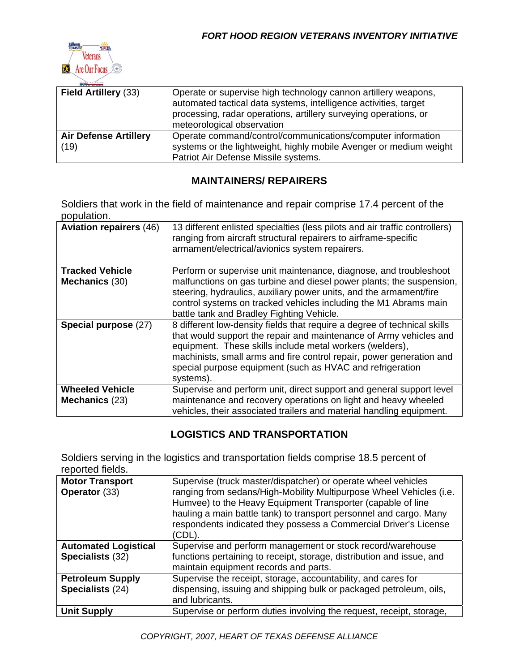

| <b>Field Artillery (33)</b>          | Operate or supervise high technology cannon artillery weapons,<br>automated tactical data systems, intelligence activities, target<br>processing, radar operations, artillery surveying operations, or<br>meteorological observation |
|--------------------------------------|--------------------------------------------------------------------------------------------------------------------------------------------------------------------------------------------------------------------------------------|
| <b>Air Defense Artillery</b><br>(19) | Operate command/control/communications/computer information<br>systems or the lightweight, highly mobile Avenger or medium weight<br>Patriot Air Defense Missile systems.                                                            |

#### **MAINTAINERS/ REPAIRERS**

Soldiers that work in the field of maintenance and repair comprise 17.4 percent of the population.

| <b>Aviation repairers (46)</b>           | 13 different enlisted specialties (less pilots and air traffic controllers)<br>ranging from aircraft structural repairers to airframe-specific<br>armament/electrical/avionics system repairers.                                                                                                                                                             |
|------------------------------------------|--------------------------------------------------------------------------------------------------------------------------------------------------------------------------------------------------------------------------------------------------------------------------------------------------------------------------------------------------------------|
| <b>Tracked Vehicle</b><br>Mechanics (30) | Perform or supervise unit maintenance, diagnose, and troubleshoot<br>malfunctions on gas turbine and diesel power plants; the suspension,<br>steering, hydraulics, auxiliary power units, and the armament/fire<br>control systems on tracked vehicles including the M1 Abrams main<br>battle tank and Bradley Fighting Vehicle.                             |
| Special purpose (27)                     | 8 different low-density fields that require a degree of technical skills<br>that would support the repair and maintenance of Army vehicles and<br>equipment. These skills include metal workers (welders),<br>machinists, small arms and fire control repair, power generation and<br>special purpose equipment (such as HVAC and refrigeration<br>systems). |
| <b>Wheeled Vehicle</b><br>Mechanics (23) | Supervise and perform unit, direct support and general support level<br>maintenance and recovery operations on light and heavy wheeled<br>vehicles, their associated trailers and material handling equipment.                                                                                                                                               |

#### **LOGISTICS AND TRANSPORTATION**

Soldiers serving in the logistics and transportation fields comprise 18.5 percent of reported fields.

| <b>Motor Transport</b><br>Operator (33)         | Supervise (truck master/dispatcher) or operate wheel vehicles<br>ranging from sedans/High-Mobility Multipurpose Wheel Vehicles (i.e.<br>Humvee) to the Heavy Equipment Transporter (capable of line<br>hauling a main battle tank) to transport personnel and cargo. Many<br>respondents indicated they possess a Commercial Driver's License<br>(CDL). |
|-------------------------------------------------|---------------------------------------------------------------------------------------------------------------------------------------------------------------------------------------------------------------------------------------------------------------------------------------------------------------------------------------------------------|
| <b>Automated Logistical</b><br>Specialists (32) | Supervise and perform management or stock record/warehouse<br>functions pertaining to receipt, storage, distribution and issue, and<br>maintain equipment records and parts.                                                                                                                                                                            |
| <b>Petroleum Supply</b><br>Specialists (24)     | Supervise the receipt, storage, accountability, and cares for<br>dispensing, issuing and shipping bulk or packaged petroleum, oils,<br>and lubricants.                                                                                                                                                                                                  |
| <b>Unit Supply</b>                              | Supervise or perform duties involving the request, receipt, storage,                                                                                                                                                                                                                                                                                    |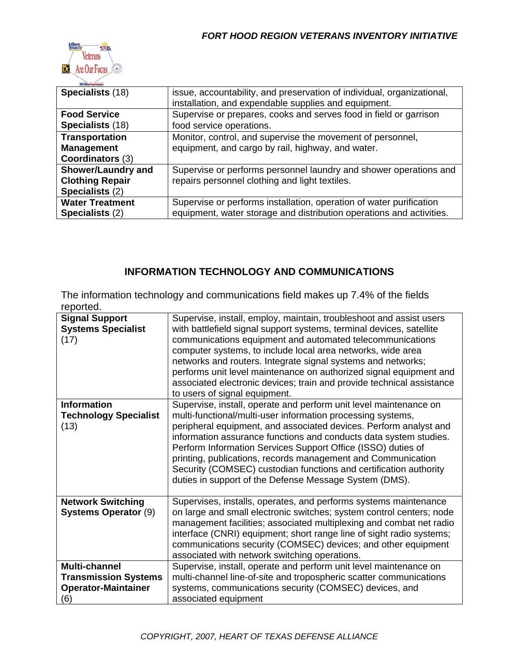

| Specialists (18)          | issue, accountability, and preservation of individual, organizational,<br>installation, and expendable supplies and equipment. |
|---------------------------|--------------------------------------------------------------------------------------------------------------------------------|
| <b>Food Service</b>       | Supervise or prepares, cooks and serves food in field or garrison                                                              |
| Specialists (18)          | food service operations.                                                                                                       |
| <b>Transportation</b>     | Monitor, control, and supervise the movement of personnel,                                                                     |
| <b>Management</b>         | equipment, and cargo by rail, highway, and water.                                                                              |
| <b>Coordinators (3)</b>   |                                                                                                                                |
| <b>Shower/Laundry and</b> | Supervise or performs personnel laundry and shower operations and                                                              |
| <b>Clothing Repair</b>    | repairs personnel clothing and light textiles.                                                                                 |
| Specialists (2)           |                                                                                                                                |
| <b>Water Treatment</b>    | Supervise or performs installation, operation of water purification                                                            |
| Specialists (2)           | equipment, water storage and distribution operations and activities.                                                           |

#### **INFORMATION TECHNOLOGY AND COMMUNICATIONS**

The information technology and communications field makes up 7.4% of the fields reported.

| <b>Signal Support</b><br><b>Systems Specialist</b><br>(17)                        | Supervise, install, employ, maintain, troubleshoot and assist users<br>with battlefield signal support systems, terminal devices, satellite<br>communications equipment and automated telecommunications<br>computer systems, to include local area networks, wide area<br>networks and routers. Integrate signal systems and networks;<br>performs unit level maintenance on authorized signal equipment and<br>associated electronic devices; train and provide technical assistance<br>to users of signal equipment.                   |
|-----------------------------------------------------------------------------------|-------------------------------------------------------------------------------------------------------------------------------------------------------------------------------------------------------------------------------------------------------------------------------------------------------------------------------------------------------------------------------------------------------------------------------------------------------------------------------------------------------------------------------------------|
| <b>Information</b><br><b>Technology Specialist</b><br>(13)                        | Supervise, install, operate and perform unit level maintenance on<br>multi-functional/multi-user information processing systems,<br>peripheral equipment, and associated devices. Perform analyst and<br>information assurance functions and conducts data system studies.<br>Perform Information Services Support Office (ISSO) duties of<br>printing, publications, records management and Communication<br>Security (COMSEC) custodian functions and certification authority<br>duties in support of the Defense Message System (DMS). |
| <b>Network Switching</b><br><b>Systems Operator (9)</b>                           | Supervises, installs, operates, and performs systems maintenance<br>on large and small electronic switches; system control centers; node<br>management facilities; associated multiplexing and combat net radio<br>interface (CNRI) equipment; short range line of sight radio systems;<br>communications security (COMSEC) devices; and other equipment<br>associated with network switching operations.                                                                                                                                 |
| Multi-channel<br><b>Transmission Systems</b><br><b>Operator-Maintainer</b><br>(6) | Supervise, install, operate and perform unit level maintenance on<br>multi-channel line-of-site and tropospheric scatter communications<br>systems, communications security (COMSEC) devices, and<br>associated equipment                                                                                                                                                                                                                                                                                                                 |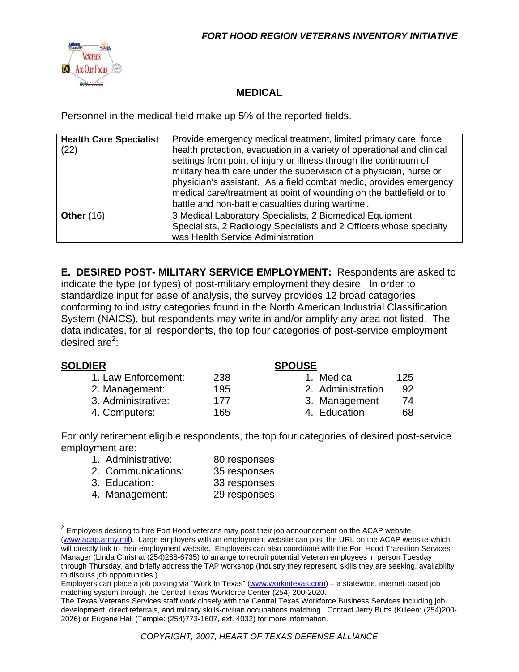

#### **MEDICAL**

Personnel in the medical field make up 5% of the reported fields.

| <b>Health Care Specialist</b><br>(22) | Provide emergency medical treatment, limited primary care, force<br>health protection, evacuation in a variety of operational and clinical<br>settings from point of injury or illness through the continuum of<br>military health care under the supervision of a physician, nurse or<br>physician's assistant. As a field combat medic, provides emergency<br>medical care/treatment at point of wounding on the battlefield or to<br>battle and non-battle casualties during wartime. |
|---------------------------------------|------------------------------------------------------------------------------------------------------------------------------------------------------------------------------------------------------------------------------------------------------------------------------------------------------------------------------------------------------------------------------------------------------------------------------------------------------------------------------------------|
| <b>Other (16)</b>                     | 3 Medical Laboratory Specialists, 2 Biomedical Equipment<br>Specialists, 2 Radiology Specialists and 2 Officers whose specialty<br>was Health Service Administration                                                                                                                                                                                                                                                                                                                     |

**E. DESIRED POST- MILITARY SERVICE EMPLOYMENT:** Respondents are asked to indicate the type (or types) of post-military employment they desire. In order to standardize input for ease of analysis, the survey provides 12 broad categories conforming to industry categories found in the North American Industrial Classification System (NAICS), but respondents may write in and/or amplify any area not listed. The data indicates, for all respondents, the top four categories of post-service employment desired are<sup>2</sup>:

#### **SOLDIER SPOUSE**

| 1. Law Enforcement: | 238 | 1. Medical        | 125 |
|---------------------|-----|-------------------|-----|
| 2. Management:      | 195 | 2. Administration | 92  |
| 3. Administrative:  | 177 | 3. Management     | 74  |
| 4. Computers:       | 165 | 4. Education      | 68  |

| 1. Medical        | 125 |
|-------------------|-----|
| 2. Administration | 92  |
| 3. Management     | 74  |
| 4. Education      | 68  |

For only retirement eligible respondents, the top four categories of desired post-service employment are:

| 1. Administrative: | 80 responses |
|--------------------|--------------|
| 2. Communications: | 35 responses |
| 3. Education:      | 33 responses |
| 4. Management:     | 29 responses |

 $2$  Employers desiring to hire Fort Hood veterans may post their job announcement on the ACAP website (www.acap.army.mil). Large employers with an employment website can post the URL on the ACAP website which will directly link to their employment website. Employers can also coordinate with the Fort Hood Transition Services Manager (Linda Christ at (254)288-6735) to arrange to recruit potential Veteran employees in person Tuesday through Thursday, and briefly address the TAP workshop (industry they represent, skills they are seeking, availability to discuss job opportunities.)

Employers can place a job posting via "Work In Texas" (www.workintexas.com) – a statewide, internet-based job matching system through the Central Texas Workforce Center (254) 200-2020.

The Texas Veterans Services staff work closely with the Central Texas Workforce Business Services including job development, direct referrals, and military skills-civilian occupations matching. Contact Jerry Butts (Killeen: (254)200- 2026) or Eugene Hall (Temple: (254)773-1607, ext. 4032) for more information.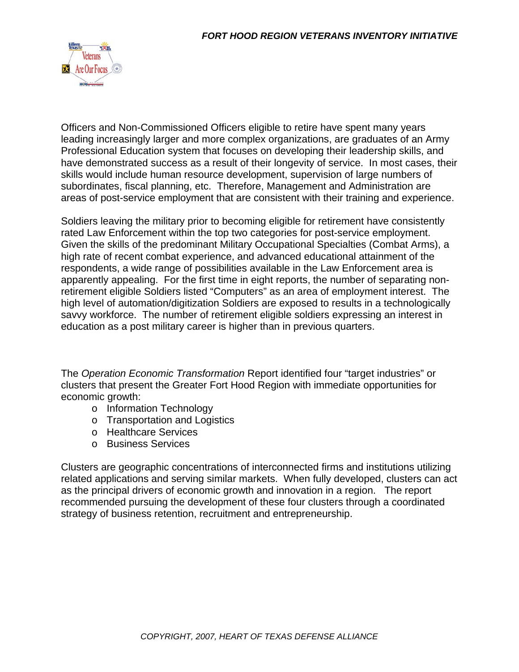![](_page_9_Picture_1.jpeg)

Officers and Non-Commissioned Officers eligible to retire have spent many years leading increasingly larger and more complex organizations, are graduates of an Army Professional Education system that focuses on developing their leadership skills, and have demonstrated success as a result of their longevity of service. In most cases, their skills would include human resource development, supervision of large numbers of subordinates, fiscal planning, etc. Therefore, Management and Administration are areas of post-service employment that are consistent with their training and experience.

Soldiers leaving the military prior to becoming eligible for retirement have consistently rated Law Enforcement within the top two categories for post-service employment. Given the skills of the predominant Military Occupational Specialties (Combat Arms), a high rate of recent combat experience, and advanced educational attainment of the respondents, a wide range of possibilities available in the Law Enforcement area is apparently appealing. For the first time in eight reports, the number of separating nonretirement eligible Soldiers listed "Computers" as an area of employment interest. The high level of automation/digitization Soldiers are exposed to results in a technologically savvy workforce. The number of retirement eligible soldiers expressing an interest in education as a post military career is higher than in previous quarters.

The *Operation Economic Transformation* Report identified four "target industries" or clusters that present the Greater Fort Hood Region with immediate opportunities for economic growth:

- o Information Technology
- o Transportation and Logistics
- o Healthcare Services
- o Business Services

Clusters are geographic concentrations of interconnected firms and institutions utilizing related applications and serving similar markets. When fully developed, clusters can act as the principal drivers of economic growth and innovation in a region. The report recommended pursuing the development of these four clusters through a coordinated strategy of business retention, recruitment and entrepreneurship.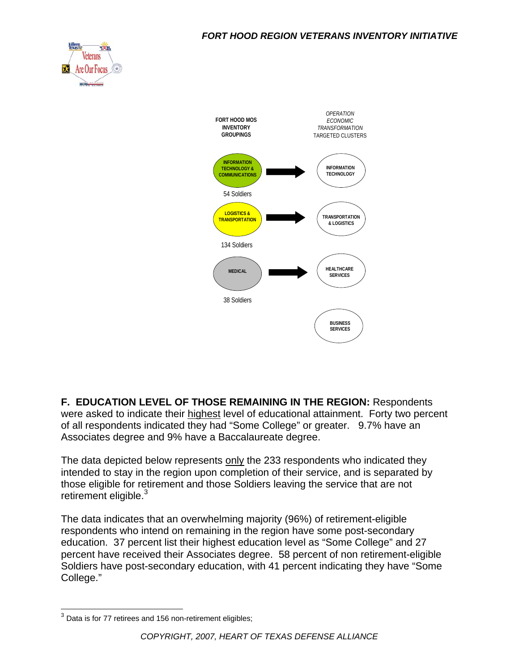![](_page_10_Picture_1.jpeg)

![](_page_10_Figure_2.jpeg)

**F. EDUCATION LEVEL OF THOSE REMAINING IN THE REGION:** Respondents were asked to indicate their highest level of educational attainment. Forty two percent of all respondents indicated they had "Some College" or greater. 9.7% have an Associates degree and 9% have a Baccalaureate degree.

The data depicted below represents only the 233 respondents who indicated they intended to stay in the region upon completion of their service, and is separated by those eligible for retirement and those Soldiers leaving the service that are not retirement eligible. $3$ 

The data indicates that an overwhelming majority (96%) of retirement-eligible respondents who intend on remaining in the region have some post-secondary education. 37 percent list their highest education level as "Some College" and 27 percent have received their Associates degree. 58 percent of non retirement-eligible Soldiers have post-secondary education, with 41 percent indicating they have "Some College."

  $3$  Data is for 77 retirees and 156 non-retirement eligibles;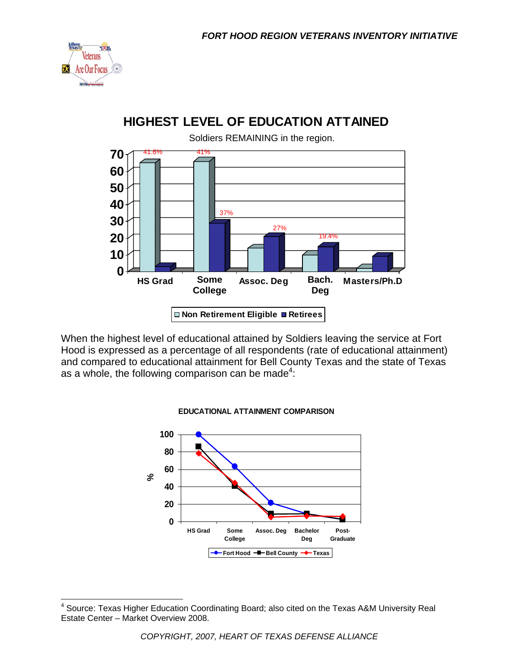![](_page_11_Picture_1.jpeg)

 $\overline{\phantom{a}}$ 

## **HIGHEST LEVEL OF EDUCATION ATTAINED**

![](_page_11_Figure_3.jpeg)

When the highest level of educational attained by Soldiers leaving the service at Fort Hood is expressed as a percentage of all respondents (rate of educational attainment) and compared to educational attainment for Bell County Texas and the state of Texas as a whole, the following comparison can be made<sup>4</sup>:

![](_page_11_Figure_5.jpeg)

#### **EDUCATIONAL ATTAINMENT COMPARISON**

<sup>&</sup>lt;sup>4</sup> Source: Texas Higher Education Coordinating Board; also cited on the Texas A&M University Real Estate Center – Market Overview 2008.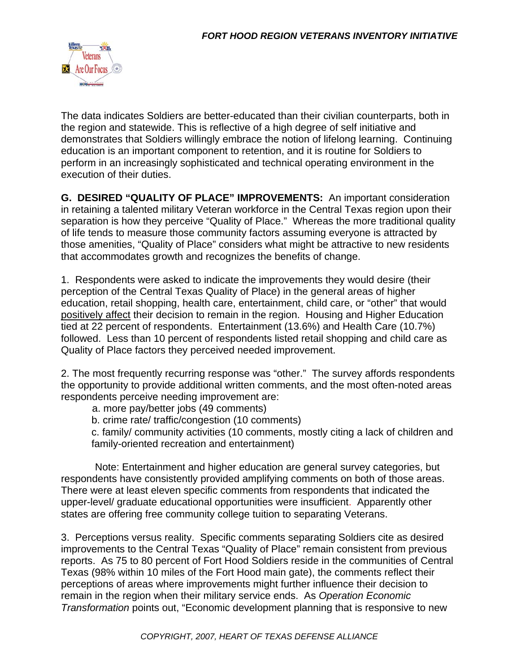![](_page_12_Picture_1.jpeg)

The data indicates Soldiers are better-educated than their civilian counterparts, both in the region and statewide. This is reflective of a high degree of self initiative and demonstrates that Soldiers willingly embrace the notion of lifelong learning. Continuing education is an important component to retention, and it is routine for Soldiers to perform in an increasingly sophisticated and technical operating environment in the execution of their duties.

**G. DESIRED "QUALITY OF PLACE" IMPROVEMENTS:** An important consideration in retaining a talented military Veteran workforce in the Central Texas region upon their separation is how they perceive "Quality of Place." Whereas the more traditional quality of life tends to measure those community factors assuming everyone is attracted by those amenities, "Quality of Place" considers what might be attractive to new residents that accommodates growth and recognizes the benefits of change.

1. Respondents were asked to indicate the improvements they would desire (their perception of the Central Texas Quality of Place) in the general areas of higher education, retail shopping, health care, entertainment, child care, or "other" that would positively affect their decision to remain in the region. Housing and Higher Education tied at 22 percent of respondents. Entertainment (13.6%) and Health Care (10.7%) followed. Less than 10 percent of respondents listed retail shopping and child care as Quality of Place factors they perceived needed improvement.

2. The most frequently recurring response was "other." The survey affords respondents the opportunity to provide additional written comments, and the most often-noted areas respondents perceive needing improvement are:

a. more pay/better jobs (49 comments)

b. crime rate/ traffic/congestion (10 comments)

c. family/ community activities (10 comments, mostly citing a lack of children and family-oriented recreation and entertainment)

 Note: Entertainment and higher education are general survey categories, but respondents have consistently provided amplifying comments on both of those areas. There were at least eleven specific comments from respondents that indicated the upper-level/ graduate educational opportunities were insufficient. Apparently other states are offering free community college tuition to separating Veterans.

3. Perceptions versus reality. Specific comments separating Soldiers cite as desired improvements to the Central Texas "Quality of Place" remain consistent from previous reports. As 75 to 80 percent of Fort Hood Soldiers reside in the communities of Central Texas (98% within 10 miles of the Fort Hood main gate), the comments reflect their perceptions of areas where improvements might further influence their decision to remain in the region when their military service ends. As *Operation Economic Transformation* points out, "Economic development planning that is responsive to new